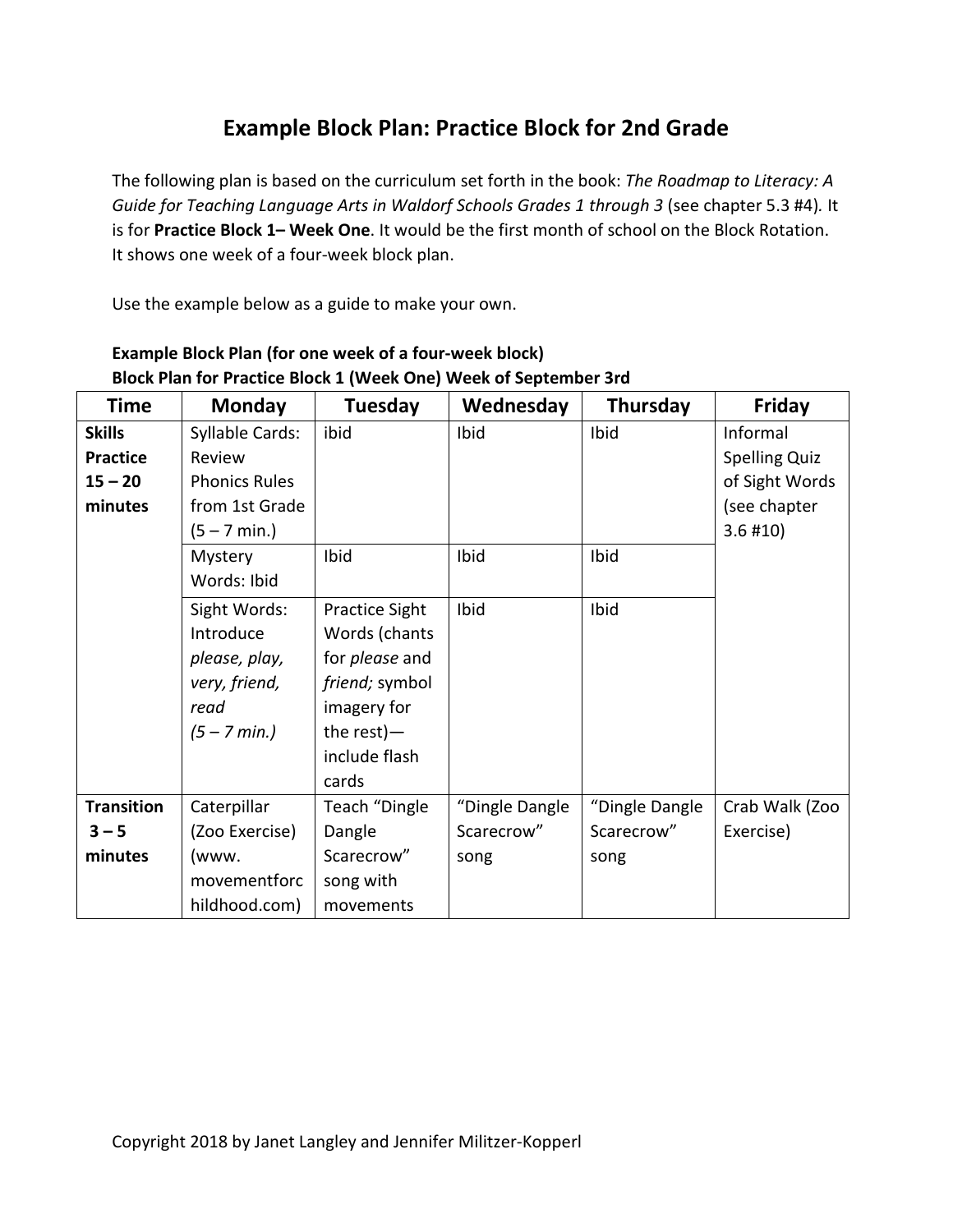## **Example Block Plan: Practice Block for 2nd Grade**

The following plan is based on the curriculum set forth in the book: *The Roadmap to Literacy: A Guide for Teaching Language Arts in Waldorf Schools Grades 1 through 3* (see chapter 5.3 #4)*.* It is for **Practice Block 1– Week One**. It would be the first month of school on the Block Rotation. It shows one week of a four-week block plan.

Use the example below as a guide to make your own.

| <b>Time</b>       | <b>Monday</b>          | Tuesday               | Wednesday      | Thursday       | <b>Friday</b>        |
|-------------------|------------------------|-----------------------|----------------|----------------|----------------------|
| <b>Skills</b>     | Syllable Cards:        | ibid                  | Ibid           | Ibid           | Informal             |
| <b>Practice</b>   | Review                 |                       |                |                | <b>Spelling Quiz</b> |
| $15 - 20$         | <b>Phonics Rules</b>   |                       |                |                | of Sight Words       |
| minutes           | from 1st Grade         |                       |                |                | (see chapter         |
|                   | $(5 - 7 \text{ min.})$ |                       |                |                | $3.6$ #10)           |
|                   | Mystery                | Ibid                  | Ibid           | Ibid           |                      |
|                   | Words: Ibid            |                       |                |                |                      |
|                   | Sight Words:           | Practice Sight        | Ibid           | Ibid           |                      |
|                   | Introduce              | Words (chants         |                |                |                      |
|                   | please, play,          | for <i>please</i> and |                |                |                      |
|                   | very, friend,          | friend; symbol        |                |                |                      |
|                   | read                   | imagery for           |                |                |                      |
|                   | $(5 - 7 min.)$         | the rest) $-$         |                |                |                      |
|                   |                        | include flash         |                |                |                      |
|                   |                        | cards                 |                |                |                      |
| <b>Transition</b> | Caterpillar            | Teach "Dingle         | "Dingle Dangle | "Dingle Dangle | Crab Walk (Zoo       |
| $3 - 5$           | (Zoo Exercise)         | Dangle                | Scarecrow"     | Scarecrow"     | Exercise)            |
| minutes           | (www.                  | Scarecrow"            | song           | song           |                      |
|                   | movementforc           | song with             |                |                |                      |
|                   | hildhood.com)          | movements             |                |                |                      |

## **Example Block Plan (for one week of a four-week block) Block Plan for Practice Block 1 (Week One) Week of September 3rd**